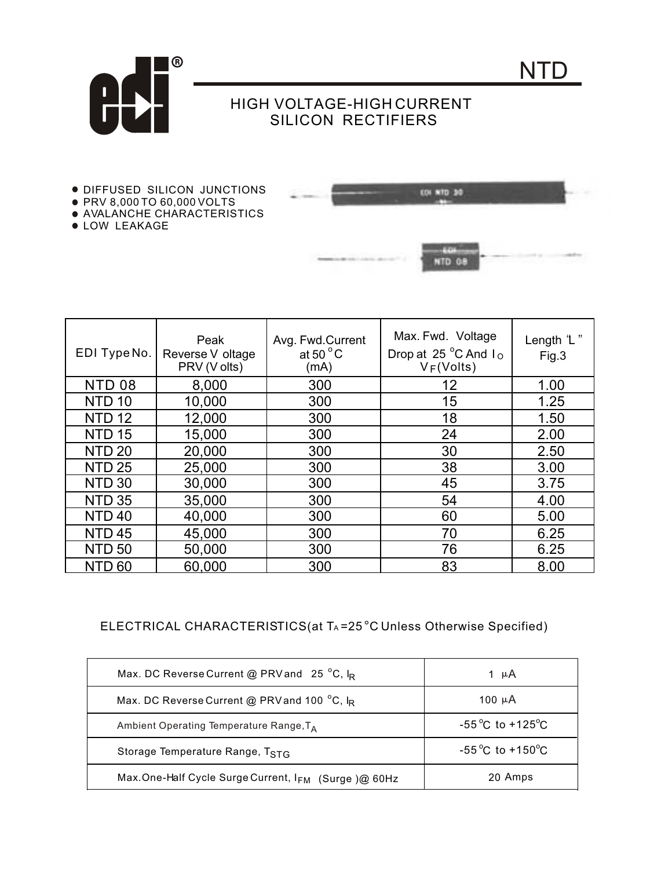

## HIGH VOLTAGE-HIGH CURRENT SILICON RECTIFIERS

- DIFFUSED SILICON JUNCTIONS
- PRV 8,000 TO 60,000 VOLTS
- AVALANCHE CHARACTERISTICS
- **.** LOW LEAKAGE



| EDI Type No.  | Peak<br>Reverse V oltage<br>PRV (V olts) | Avg. Fwd.Current<br>at 50 $^{\circ}$ C<br>(mA) | Max. Fwd. Voltage<br>Drop at 25 °C And Io<br>$V_F(Volts)$ | Length 'L"<br>Fig.3 |
|---------------|------------------------------------------|------------------------------------------------|-----------------------------------------------------------|---------------------|
| <b>NTD 08</b> | 8,000                                    | 300                                            | 12                                                        | 1.00                |
| <b>NTD 10</b> | 10,000                                   | 300                                            | 15                                                        | 1.25                |
| <b>NTD 12</b> | 12,000                                   | 300                                            | 18                                                        | 1.50                |
| <b>NTD 15</b> | 15,000                                   | 300                                            | 24                                                        | 2.00                |
| <b>NTD 20</b> | 20,000                                   | 300                                            | 30                                                        | 2.50                |
| <b>NTD 25</b> | 25,000                                   | 300                                            | 38                                                        | 3.00                |
| <b>NTD 30</b> | 30,000                                   | 300                                            | 45                                                        | 3.75                |
| <b>NTD 35</b> | 35,000                                   | 300                                            | 54                                                        | 4.00                |
| <b>NTD 40</b> | 40,000                                   | 300                                            | 60                                                        | 5.00                |
| <b>NTD 45</b> | 45,000                                   | 300                                            | 70                                                        | 6.25                |
| <b>NTD 50</b> | 50,000                                   | 300                                            | 76                                                        | 6.25                |
| -60<br>NID    | 60,000                                   | 300                                            | 83                                                        | 8.00                |

## ELECTRICAL CHARACTERISTICS(at TA=25°C Unless Otherwise Specified)

| Max. DC Reverse Current @ PRV and 25 °C, $I_R$      | 1 µA                                |
|-----------------------------------------------------|-------------------------------------|
| Max. DC Reverse Current @ PRV and 100 °C, IR        | 100 µA                              |
| Ambient Operating Temperature Range, TA             | $-55^{\circ}$ C to $+125^{\circ}$ C |
| Storage Temperature Range, TSTG                     | $-55^{\circ}$ C to $+150^{\circ}$ C |
| Max.One-Half Cycle Surge Current, IFM (Surge)@ 60Hz | 20 Amps                             |

NTD